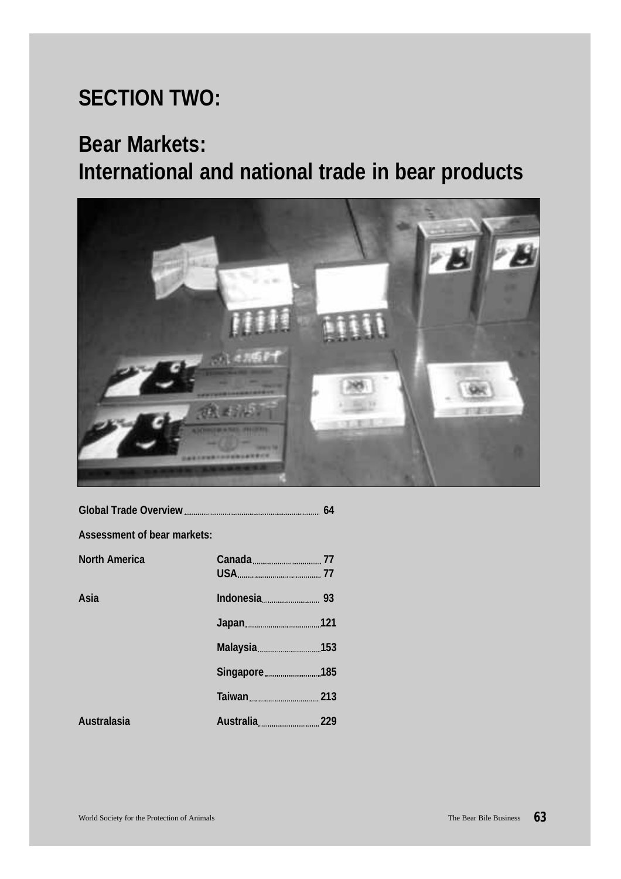# **SECTION TWO:**

# **Bear Markets:**

# **International and national trade in bear products**



**Assessment of bear markets:**

| <b>North America</b> | Canada 77     |  |
|----------------------|---------------|--|
| Asia                 | Indonesia 193 |  |
|                      |               |  |
|                      |               |  |
|                      | Singapore 185 |  |
|                      |               |  |
| Australasia          |               |  |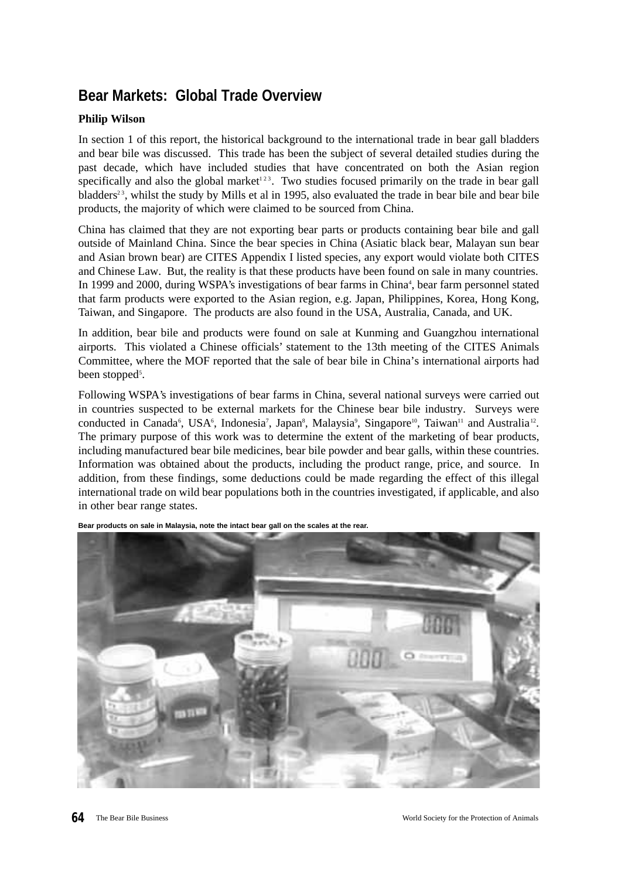# **Bear Markets: Global Trade Overview**

# **Philip Wilson**

In section 1 of this report, the historical background to the international trade in bear gall bladders and bear bile was discussed. This trade has been the subject of several detailed studies during the past decade, which have included studies that have concentrated on both the Asian region specifically and also the global market<sup>123</sup>. Two studies focused primarily on the trade in bear gall bladders<sup>23</sup>, whilst the study by Mills et al in 1995, also evaluated the trade in bear bile and bear bile products, the majority of which were claimed to be sourced from China.

China has claimed that they are not exporting bear parts or products containing bear bile and gall outside of Mainland China. Since the bear species in China (Asiatic black bear, Malayan sun bear and Asian brown bear) are CITES Appendix I listed species, any export would violate both CITES and Chinese Law. But, the reality is that these products have been found on sale in many countries. In 1999 and 2000, during WSPA's investigations of bear farms in China<sup>4</sup>, bear farm personnel stated that farm products were exported to the Asian region, e.g. Japan, Philippines, Korea, Hong Kong, Taiwan, and Singapore. The products are also found in the USA, Australia, Canada, and UK.

In addition, bear bile and products were found on sale at Kunming and Guangzhou international airports. This violated a Chinese officials' statement to the 13th meeting of the CITES Animals Committee, where the MOF reported that the sale of bear bile in China's international airports had been stopped<sup>5</sup>.

Following WSPA's investigations of bear farms in China, several national surveys were carried out in countries suspected to be external markets for the Chinese bear bile industry. Surveys were conducted in Canada<sup>6</sup>, USA<sup>6</sup>, Indonesia<sup>7</sup>, Japan<sup>8</sup>, Malaysia<sup>9</sup>, Singapore<sup>10</sup>, Taiwan<sup>11</sup> and Australia<sup>12</sup>. The primary purpose of this work was to determine the extent of the marketing of bear products, including manufactured bear bile medicines, bear bile powder and bear galls, within these countries. Information was obtained about the products, including the product range, price, and source. In addition, from these findings, some deductions could be made regarding the effect of this illegal international trade on wild bear populations both in the countries investigated, if applicable, and also in other bear range states.



**Bear products on sale in Malaysia, note the intact bear gall on the scales at the rear.**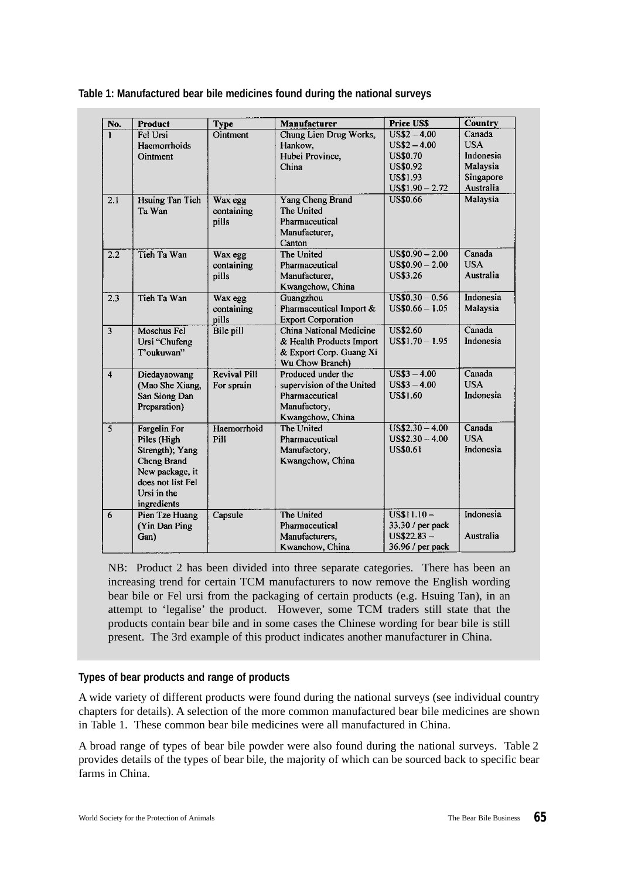| Table 1: Manufactured bear bile medicines found during the national surveys |
|-----------------------------------------------------------------------------|
|-----------------------------------------------------------------------------|

| No.              | <b>Product</b>         | <b>Type</b>         | Manufacturer              | <b>Price US\$</b> | Country    |
|------------------|------------------------|---------------------|---------------------------|-------------------|------------|
| 1                | Fel Ursi               | Ointment            | Chung Lien Drug Works,    | $US$2 - 4.00$     | Canada     |
|                  | Haemorrhoids           |                     | Hankow.                   | $US$2 - 4.00$     | <b>USA</b> |
|                  | Ointment               |                     | Hubei Province,           | <b>US\$0.70</b>   | Indonesia  |
|                  |                        |                     | China                     | <b>US\$0.92</b>   | Malaysia   |
|                  |                        |                     |                           | <b>US\$1.93</b>   | Singapore  |
|                  |                        |                     |                           | $US$1.90 - 2.72$  | Australia  |
| $\overline{2.1}$ | <b>Hsuing Tan Tieh</b> | Wax egg             | Yang Cheng Brand          | <b>US\$0.66</b>   | Malaysia   |
|                  | Ta Wan                 | containing          | The United                |                   |            |
|                  |                        | pills               | Pharmaceutical            |                   |            |
|                  |                        |                     | Manufacturer,             |                   |            |
|                  |                        |                     | Canton                    |                   |            |
| 2.2              | Tieh Ta Wan            | Wax egg             | The United                | $US$0.90 - 2.00$  | Canada     |
|                  |                        | containing          | Pharmaceutical            | $US$0.90 - 2.00$  | <b>USA</b> |
|                  |                        | pills               | Manufacturer,             | <b>US\$3.26</b>   | Australia  |
|                  |                        |                     | Kwangchow, China          |                   |            |
| 2.3              | Tieh Ta Wan            | Wax egg             | Guangzhou                 | $US$0.30 - 0.56$  | Indonesia  |
|                  |                        | containing          | Pharmaceutical Import &   | $US$0.66 - 1.05$  | Malaysia   |
|                  |                        | pills               | <b>Export Corporation</b> |                   |            |
| $\overline{3}$   | Moschus Fel            | Bile pill           | China National Medicine   | <b>US\$2.60</b>   | Canada     |
|                  | Ursi "Chufeng          |                     | & Health Products Import  | $US$1.70 - 1.95$  | Indonesia  |
|                  | T'oukuwan"             |                     | & Export Corp. Guang Xi   |                   |            |
|                  |                        |                     | Wu Chow Branch)           |                   |            |
| $\overline{4}$   | Diedayaowang           | <b>Revival Pill</b> | Produced under the        | $US$3 - 4.00$     | Canada     |
|                  | (Mao She Xiang,        | For sprain          | supervision of the United | $US$3 - 4.00$     | <b>USA</b> |
|                  | San Siong Dan          |                     | Pharmaceutical            | <b>US\$1.60</b>   | Indonesia  |
|                  | Preparation)           |                     | Manufactory,              |                   |            |
|                  |                        |                     | Kwangchow, China          |                   |            |
| $\overline{5}$   | <b>Fargelin For</b>    | Haemorrhoid         | The United                | $US$2.30 - 4.00$  | Canada     |
|                  | Piles (High            | Pill                | Pharmaceutical            | $US$2.30 - 4.00$  | <b>USA</b> |
|                  | Strength); Yang        |                     | Manufactory,              | <b>US\$0.61</b>   | Indonesia  |
|                  | Cheng Brand            |                     | Kwangchow, China          |                   |            |
|                  | New package, it        |                     |                           |                   |            |
|                  | does not list Fel      |                     |                           |                   |            |
|                  | Ursi in the            |                     |                           |                   |            |
|                  | ingredients            |                     |                           |                   |            |
| 6                | Pien Tze Huang         | Capsule             | The United                | $US$11.10 -$      | Indonesia  |
|                  | (Yin Dan Ping          |                     | Pharmaceutical            | 33.30 / per pack  |            |
|                  | Gan)                   |                     | Manufacturers,            | $US$22.83 -$      | Australia  |
|                  |                        |                     | Kwanchow, China           | 36.96 / per pack  |            |

NB: Product 2 has been divided into three separate categories. There has been an increasing trend for certain TCM manufacturers to now remove the English wording bear bile or Fel ursi from the packaging of certain products (e.g. Hsuing Tan), in an attempt to 'legalise' the product. However, some TCM traders still state that the products contain bear bile and in some cases the Chinese wording for bear bile is still present. The 3rd example of this product indicates another manufacturer in China.

### **Types of bear products and range of products**

A wide variety of different products were found during the national surveys (see individual country chapters for details). A selection of the more common manufactured bear bile medicines are shown in Table 1. These common bear bile medicines were all manufactured in China.

A broad range of types of bear bile powder were also found during the national surveys. Table 2 provides details of the types of bear bile, the majority of which can be sourced back to specific bear farms in China.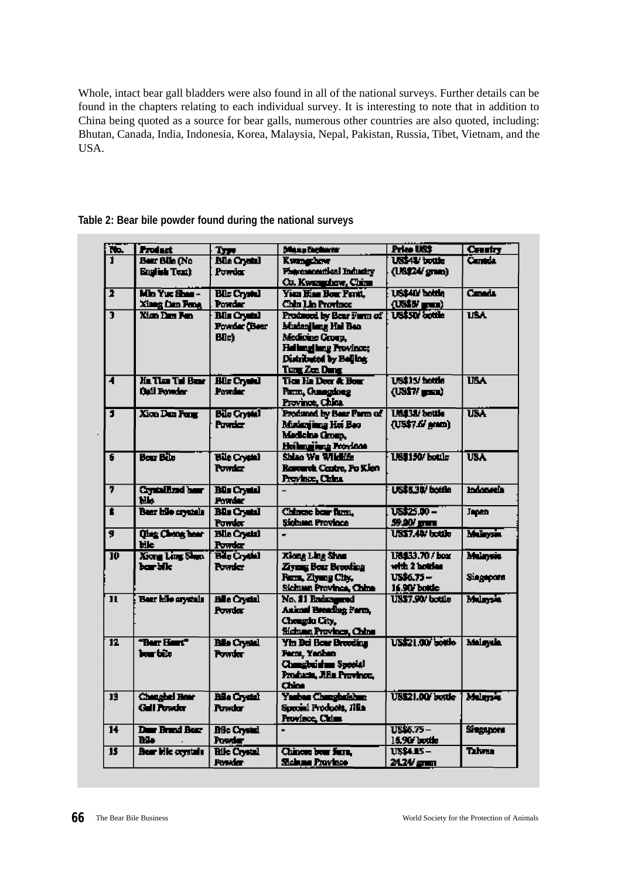Whole, intact bear gall bladders were also found in all of the national surveys. Further details can be found in the chapters relating to each individual survey. It is interesting to note that in addition to China being quoted as a source for bear galls, numerous other countries are also quoted, including: Bhutan, Canada, India, Indonesia, Korea, Malaysia, Nepal, Pakistan, Russia, Tibet, Vietnam, and the USA.

| Ĩĥ.                     | <b>Product</b>            | Type <sub>1</sub>   | Manuel Engineer                     | Price US\$                 | Centry                  |
|-------------------------|---------------------------|---------------------|-------------------------------------|----------------------------|-------------------------|
| ī                       | Bear Blie (No             | <b>Bla Creal</b>    | <b>Kumguna</b>                      | US\$41/ bottle             | <b>Canada</b>           |
|                         | <b>English Text)</b>      | Powdar              | <b>Physical dal Industry</b>        | (US\$24' gran)             |                         |
|                         |                           |                     | Co. Koongahaw, China                |                            |                         |
| ī                       | Min Yux Sher -            | <b>Blle Crystal</b> | You Has Box Furth.                  | <b>US\$40' bottle</b>      | Canada                  |
|                         | <b>Xineg Can Fene</b>     | Powder              | <b>Chin Lin Province</b>            | $(18$ \$B/ $_{\rm{geom}})$ |                         |
| $\overline{\mathbf{3}}$ | <b>Xian Fam Ran</b>       | <b>Blu Crystal</b>  | Produced by Bear Furm of            | <b>US\$50/ Lottle</b>      | <b>USA</b>              |
|                         |                           | Fowder (Bear        | Mudan lime Hal Ban                  |                            |                         |
|                         |                           | <b>BOck</b>         | Medione Groen.                      |                            |                         |
|                         |                           |                     | <b>Helmgling Province;</b>          |                            |                         |
|                         |                           |                     | Distributed by Belling              |                            |                         |
|                         |                           |                     | Tung Zen Dang                       |                            |                         |
| 4                       | <b>He Then The Plane</b>  | <b>Blue Crystal</b> | <b>Tics He Door &amp; Host</b>      | US\$15/hottle              | <b>IINA</b>             |
|                         | <b>Ball Powder</b>        | <b>Pourder</b>      | Pann, Gunagdong                     | $(1857/\text{mm})$         |                         |
|                         |                           |                     | Province, China                     |                            |                         |
| T                       | Xion Dan Pany             | <b>Bile Crystal</b> | Produced by Bear Parm of            | <b>US\$38/bottle</b>       | <b>IJSA</b>             |
|                         |                           | Ponder              | Mudanjing Hoi Bao                   | $(US37.67$ arom)           |                         |
|                         |                           |                     | Medicine Group,                     |                            |                         |
|                         |                           |                     | <b>Heilinging Porton</b>            |                            |                         |
| 6                       | <b>Bour Bile</b>          | <b>Bile Crystal</b> | Shino Wa Wildlife                   | <b>US\$150/bottle</b>      | $\overline{\text{UBA}}$ |
|                         |                           | <b>Powder</b>       | Rarcurch Castro, Po Klen            |                            |                         |
|                         |                           |                     | Province, China                     |                            |                         |
| 7                       | <b>Crystallized hand</b>  | <b>Bill Crystal</b> |                                     | US\$530/ bottle            | <b>Indonesia</b>        |
|                         | нь                        | <b>Powder</b>       |                                     |                            |                         |
| ŧ                       | Baar hile crystals        | <b>Blu Crystal</b>  | Chinese bear from.                  | US\$25.00 -                | <b>Japan</b>            |
|                         |                           | Pondar              | Sichana Province                    | 59.00/ part                |                         |
| 9                       | <b>Chang Cheng hear</b>   | <b>Blis Crystal</b> |                                     | US\$7.40/ bottle           | Mulanzin.               |
|                         | Hlc.                      | Powia               |                                     |                            |                         |
| $\overline{10}$         | Xiona Lina Shan           | Big Crystal         | Klong Ling Shan                     | 118433.70 / box            | Mulaysia                |
|                         | bar bile                  | Powia               | Zivens Bour Brooking                | with 2 bottles             |                         |
|                         |                           |                     | From, Zlywng City,                  | US\$6.75 –                 | Siegepore               |
|                         |                           |                     | Sichum Province, China              | 16.90/ bottle              |                         |
| п                       | <b>Bear hile crystels</b> | <b>Bile Crystal</b> | No. 11 Enders and                   | <b>US\$7.90/ bottle</b>    | <b>Mulancia</b>         |
|                         |                           | <b>Powdar</b>       | Animal Breading Form,               |                            |                         |
|                         |                           |                     | Chongda City,                       |                            |                         |
|                         | "Berr Haust"              |                     | Sichuan Province, China             | US\$21.00/bottle           |                         |
| 12                      | ber bite                  | <b>Bile Crystal</b> | <b>Yin Bel Boar Brooding</b>        |                            | <b>Malaysia</b>         |
|                         |                           | <b>Powder</b>       | Fam, Yanhan<br>Changleridum Special |                            |                         |
|                         |                           |                     |                                     |                            |                         |
|                         |                           |                     | Products, Jills Province,<br>China  |                            |                         |
| 13                      | <b>Changhed Hear</b>      | <b>Bile Crystal</b> | Yashas Changbakhan                  | <b>US\$21.00' bottle</b>   | <b>Murrie</b>           |
|                         | Gall Penador              | <b>Province</b>     | Special Products, Jilla             |                            |                         |
|                         |                           |                     | <b>Province</b> , China             |                            |                         |
| $\overline{14}$         | Due Brand Bear            | <b>Bile Crystal</b> | $\blacksquare$                      | US\$6.75-                  | Singapora               |
|                         | Bl.                       | Powder              |                                     | 16.90/ bottle              |                         |
| $\overline{15}$         | <b>Bear bile ceystals</b> | <b>Bile Crystal</b> | Chinese bear farm.                  | US\$4.15 -                 | Tahrar                  |
|                         |                           | <b>Possier</b>      | <b>Sichum Province</b>              | 24.24/ gram                |                         |
|                         |                           |                     |                                     |                            |                         |

# **Table 2: Bear bile powder found during the national surveys**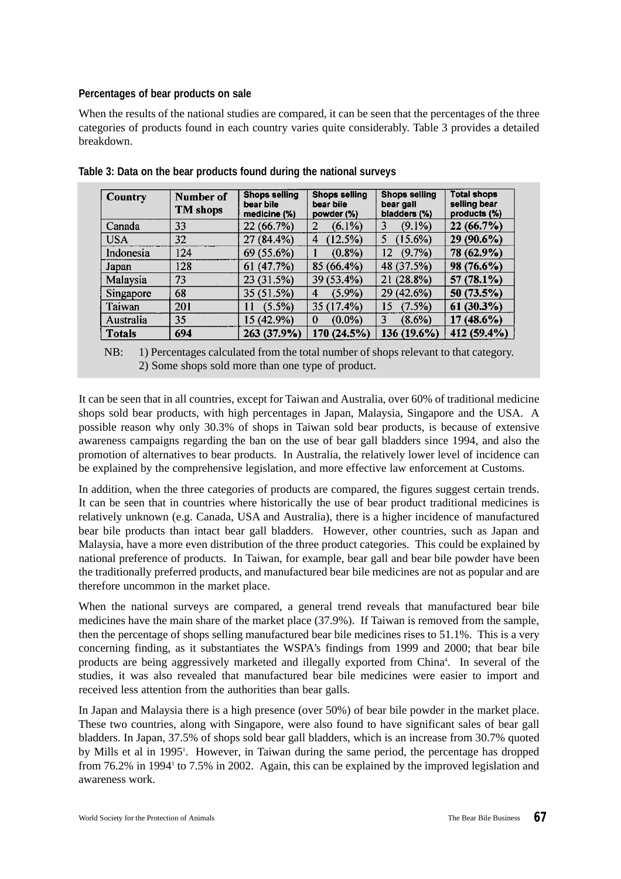# **Percentages of bear products on sale**

When the results of the national studies are compared, it can be seen that the percentages of the three categories of products found in each country varies quite considerably. Table 3 provides a detailed breakdown.

| Country       | Number of<br><b>TM</b> shops | <b>Shops selling</b><br>bear bile<br>medicine (%) | <b>Shops selling</b><br>bear bile<br>powder (%) | <b>Shops selling</b><br>bear gall<br>bladders (%) | <b>Total shops</b><br>selling bear<br>products $(\%)$ |
|---------------|------------------------------|---------------------------------------------------|-------------------------------------------------|---------------------------------------------------|-------------------------------------------------------|
| Canada        | 33                           | 22 (66.7%)                                        | $(6.1\%)$<br>2                                  | $(9.1\%)$<br>3                                    | 22(66.7%)                                             |
| <b>USA</b>    | 32                           | 27 (84.4%)                                        | (12.5%)<br>4                                    | $(15.6\%)$<br>5                                   | 29 (90.6%)                                            |
| Indonesia     | 124                          | 69 (55.6%)                                        | $(0.8\%)$                                       | $(9.7\%)$<br>12                                   | 78 (62.9%)                                            |
| Japan         | 128                          | 61(47.7%)                                         | 85 (66.4%)                                      | 48 (37.5%)                                        | 98 (76.6%)                                            |
| Malaysia      | 73                           | 23 (31.5%)                                        | 39 (53.4%)                                      | $21(28.8\%)$                                      | $57(78.1\%)$                                          |
| Singapore     | 68                           | 35 (51.5%)                                        | (5.9%)<br>4                                     | 29 (42.6%)                                        | 50 (73.5%)                                            |
| Taiwan        | 201                          | (5.5%)<br>11                                      | 35 (17.4%)                                      | $(7.5\%)$<br>15                                   | 61(30.3%)                                             |
| Australia     | 35                           | 15 (42.9%)                                        | $(0.0\%)$<br>$\theta$                           | 3<br>$(8.6\%)$                                    | $(48.6\%)$<br>17                                      |
| <b>Totals</b> | 694                          | 263 (37.9%)                                       | 170(24.5%)                                      | 136 (19.6%)                                       | 412 (59.4%)                                           |

**Table 3: Data on the bear products found during the national surveys**

NB: 1) Percentages calculated from the total number of shops relevant to that category. 2) Some shops sold more than one type of product.

It can be seen that in all countries, except for Taiwan and Australia, over 60% of traditional medicine shops sold bear products, with high percentages in Japan, Malaysia, Singapore and the USA. A possible reason why only 30.3% of shops in Taiwan sold bear products, is because of extensive awareness campaigns regarding the ban on the use of bear gall bladders since 1994, and also the promotion of alternatives to bear products. In Australia, the relatively lower level of incidence can be explained by the comprehensive legislation, and more effective law enforcement at Customs.

In addition, when the three categories of products are compared, the figures suggest certain trends. It can be seen that in countries where historically the use of bear product traditional medicines is relatively unknown (e.g. Canada, USA and Australia), there is a higher incidence of manufactured bear bile products than intact bear gall bladders. However, other countries, such as Japan and Malaysia, have a more even distribution of the three product categories. This could be explained by national preference of products. In Taiwan, for example, bear gall and bear bile powder have been the traditionally preferred products, and manufactured bear bile medicines are not as popular and are therefore uncommon in the market place.

When the national surveys are compared, a general trend reveals that manufactured bear bile medicines have the main share of the market place (37.9%). If Taiwan is removed from the sample, then the percentage of shops selling manufactured bear bile medicines rises to 51.1%. This is a very concerning finding, as it substantiates the WSPA's findings from 1999 and 2000; that bear bile products are being aggressively marketed and illegally exported from China<sup>4</sup>. In several of the studies, it was also revealed that manufactured bear bile medicines were easier to import and received less attention from the authorities than bear galls.

In Japan and Malaysia there is a high presence (over 50%) of bear bile powder in the market place. These two countries, along with Singapore, were also found to have significant sales of bear gall bladders. In Japan, 37.5% of shops sold bear gall bladders, which is an increase from 30.7% quoted by Mills et al in 1995<sup>1</sup>. However, in Taiwan during the same period, the percentage has dropped from 76.2% in 1994<sup>1</sup> to 7.5% in 2002. Again, this can be explained by the improved legislation and awareness work.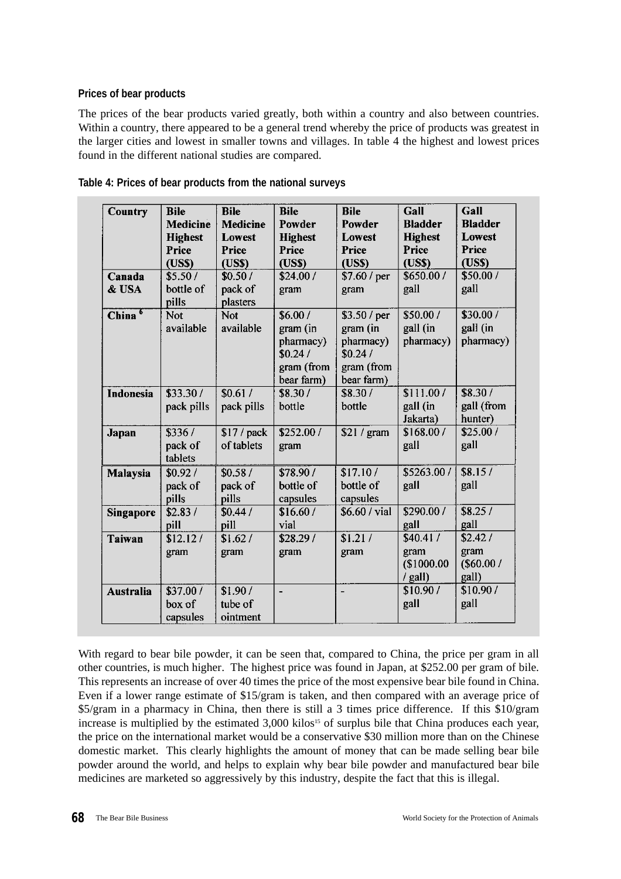# **Prices of bear products**

The prices of the bear products varied greatly, both within a country and also between countries. Within a country, there appeared to be a general trend whereby the price of products was greatest in the larger cities and lowest in smaller towns and villages. In table 4 the highest and lowest prices found in the different national studies are compared.

| <b>Country</b>     | <b>Bile</b><br><b>Medicine</b><br><b>Highest</b><br>Price<br>(US\$) | <b>Bile</b><br><b>Medicine</b><br><b>Lowest</b><br>Price<br>( <b>USS</b> ) | <b>Bile</b><br>Powder<br><b>Highest</b><br>Price<br>(USS)               | <b>Bile</b><br>Powder<br>Lowest<br><b>Price</b><br>(US\$)                    | Gall<br><b>Bladder</b><br><b>Highest</b><br>Price<br>(USS) | Gall<br><b>Bladder</b><br><b>Lowest</b><br>Price<br>(US\$) |
|--------------------|---------------------------------------------------------------------|----------------------------------------------------------------------------|-------------------------------------------------------------------------|------------------------------------------------------------------------------|------------------------------------------------------------|------------------------------------------------------------|
| Canada<br>& USA    | \$5.50/<br>bottle of<br>pills                                       | \$0.50/<br>pack of<br>plasters                                             | \$24.00/<br>gram                                                        | \$7.60 / per<br>gram                                                         | \$650.00 /<br>gall                                         | \$50.00/<br>gall                                           |
| China <sup>6</sup> | <b>Not</b><br>available                                             | <b>Not</b><br>available                                                    | \$6.00/<br>gram (in<br>pharmacy)<br>\$0.24/<br>gram (from<br>bear farm) | \$3.50 / per<br>gram (in<br>pharmacy)<br>\$0.24/<br>gram (from<br>bear farm) | \$50.00/<br>gall (in<br>pharmacy)                          | \$30.00/<br>gall (in<br>pharmacy)                          |
| Indonesia          | \$33.30/<br>pack pills                                              | \$0.61/<br>pack pills                                                      | \$8.30/<br>bottle                                                       | \$8.30/<br>bottle                                                            | \$111.00/<br>gall (in<br>Jakarta)                          | \$8.30/<br>gall (from<br>hunter)                           |
| Japan              | \$336/<br>pack of<br>tablets                                        | $$17$ / pack<br>of tablets                                                 | \$252.00/<br>gram                                                       | \$21 / gram                                                                  | \$168.00/<br>gall                                          | \$25.00/<br>gall                                           |
| Malaysia           | \$0.92/<br>pack of<br>pills                                         | \$0.58/<br>pack of<br>pills                                                | \$78.90 /<br>bottle of<br>capsules                                      | \$17.10/<br>bottle of<br>capsules                                            | \$5263.00 /<br>gall                                        | \$8.15/<br>gall                                            |
| <b>Singapore</b>   | \$2.83/<br>pill                                                     | \$0.44/<br>pill                                                            | \$16.60/<br>vial                                                        | \$6.60 / vial                                                                | \$290.00 /<br>gall                                         | \$8.25/<br>gall                                            |
| <b>Taiwan</b>      | \$12.12/<br>gram                                                    | \$1.62/<br>gram                                                            | \$28.29/<br>gram                                                        | \$1.21/<br>gram                                                              | \$40.41/<br>gram<br>\$1000.00<br>/ gall)                   | \$2.42/<br>gram<br>$($ \$60.00 $/$<br>gall)                |
| <b>Australia</b>   | \$37.00/<br>box of<br>capsules                                      | \$1.90/<br>tube of<br>ointment                                             | $\blacksquare$                                                          | $\overline{\phantom{0}}$                                                     | \$10.90/<br>gall                                           | \$10.90/<br>gall                                           |

With regard to bear bile powder, it can be seen that, compared to China, the price per gram in all other countries, is much higher. The highest price was found in Japan, at \$252.00 per gram of bile. This represents an increase of over 40 times the price of the most expensive bear bile found in China. Even if a lower range estimate of \$15/gram is taken, and then compared with an average price of \$5/gram in a pharmacy in China, then there is still a 3 times price difference. If this \$10/gram increase is multiplied by the estimated 3,000 kilos<sup>15</sup> of surplus bile that China produces each year, the price on the international market would be a conservative \$30 million more than on the Chinese domestic market. This clearly highlights the amount of money that can be made selling bear bile powder around the world, and helps to explain why bear bile powder and manufactured bear bile medicines are marketed so aggressively by this industry, despite the fact that this is illegal.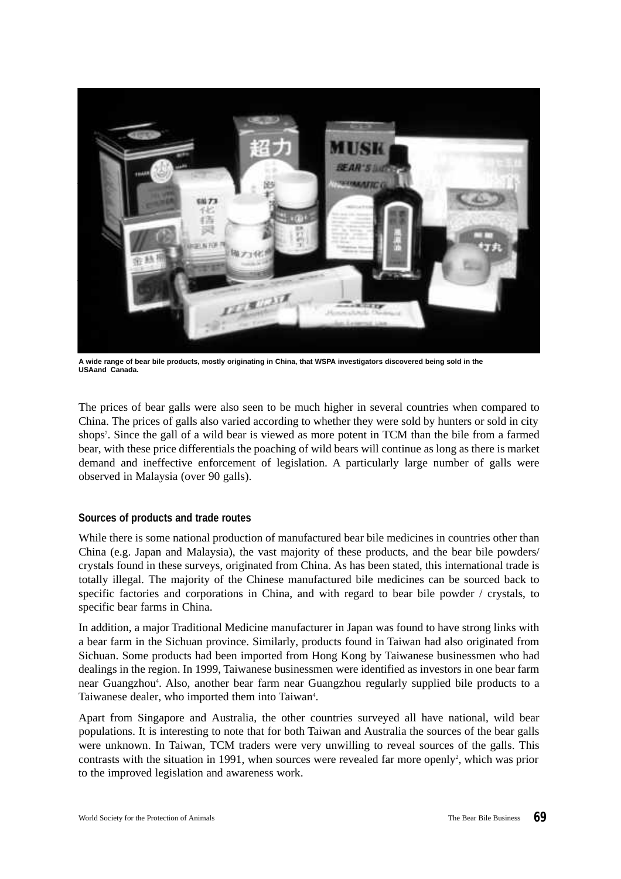

**A wide range of bear bile products, mostly originating in China, that WSPA investigators discovered being sold in the USAand Canada.**

The prices of bear galls were also seen to be much higher in several countries when compared to China. The prices of galls also varied according to whether they were sold by hunters or sold in city shops<sup>7</sup>. Since the gall of a wild bear is viewed as more potent in TCM than the bile from a farmed bear, with these price differentials the poaching of wild bears will continue as long as there is market demand and ineffective enforcement of legislation. A particularly large number of galls were observed in Malaysia (over 90 galls).

### **Sources of products and trade routes**

While there is some national production of manufactured bear bile medicines in countries other than China (e.g. Japan and Malaysia), the vast majority of these products, and the bear bile powders/ crystals found in these surveys, originated from China. As has been stated, this international trade is totally illegal. The majority of the Chinese manufactured bile medicines can be sourced back to specific factories and corporations in China, and with regard to bear bile powder / crystals, to specific bear farms in China.

In addition, a major Traditional Medicine manufacturer in Japan was found to have strong links with a bear farm in the Sichuan province. Similarly, products found in Taiwan had also originated from Sichuan. Some products had been imported from Hong Kong by Taiwanese businessmen who had dealings in the region. In 1999, Taiwanese businessmen were identified as investors in one bear farm near Guangzhou<sup>4</sup>. Also, another bear farm near Guangzhou regularly supplied bile products to a Taiwanese dealer, who imported them into Taiwan<sup>4</sup>.

Apart from Singapore and Australia, the other countries surveyed all have national, wild bear populations. It is interesting to note that for both Taiwan and Australia the sources of the bear galls were unknown. In Taiwan, TCM traders were very unwilling to reveal sources of the galls. This contrasts with the situation in 1991, when sources were revealed far more openly<sup>2</sup>, which was prior to the improved legislation and awareness work.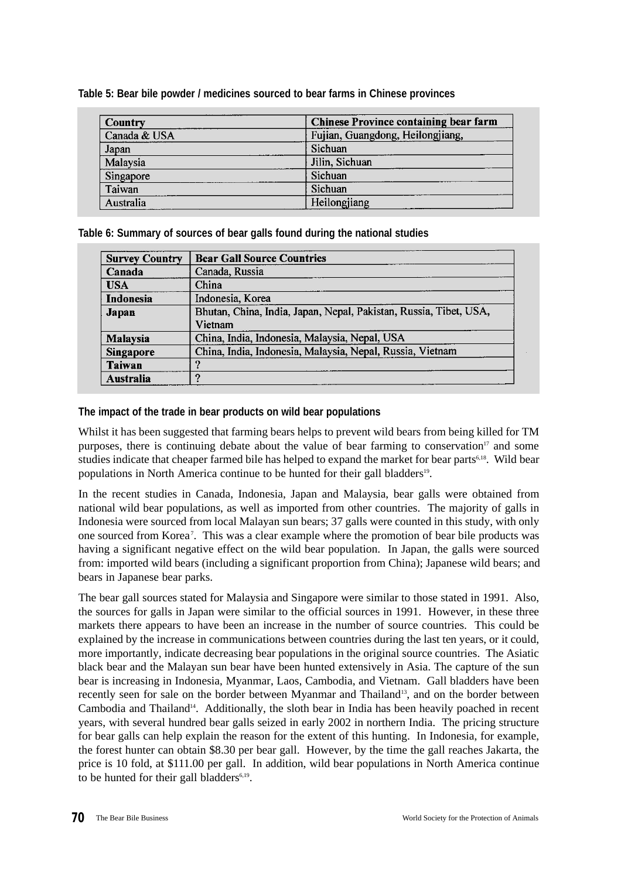| <b>Country</b> | <b>Chinese Province containing bear farm</b> |
|----------------|----------------------------------------------|
| Canada & USA   | Fujian, Guangdong, Heilongjiang,             |
| Japan          | Sichuan                                      |
| Malaysia       | Jilin, Sichuan                               |
| Singapore      | Sichuan                                      |
| Taiwan         | Sichuan                                      |
| Australia      | Heilongjiang                                 |

**Table 5: Bear bile powder / medicines sourced to bear farms in Chinese provinces**

# **Table 6: Summary of sources of bear galls found during the national studies**

| <b>Survey Country</b> | <b>Bear Gall Source Countries</b>                                 |
|-----------------------|-------------------------------------------------------------------|
| Canada                | Canada, Russia                                                    |
| <b>USA</b>            | China                                                             |
| Indonesia             | Indonesia, Korea                                                  |
| Japan                 | Bhutan, China, India, Japan, Nepal, Pakistan, Russia, Tibet, USA, |
|                       | Vietnam                                                           |
| Malaysia              | China, India, Indonesia, Malaysia, Nepal, USA                     |
| Singapore             | China, India, Indonesia, Malaysia, Nepal, Russia, Vietnam         |
| <b>Taiwan</b>         |                                                                   |
| Australia             |                                                                   |

# **The impact of the trade in bear products on wild bear populations**

Whilst it has been suggested that farming bears helps to prevent wild bears from being killed for TM purposes, there is continuing debate about the value of bear farming to conservation<sup>17</sup> and some studies indicate that cheaper farmed bile has helped to expand the market for bear parts<sup>6,18</sup>. Wild bear populations in North America continue to be hunted for their gall bladders<sup>19</sup>.

In the recent studies in Canada, Indonesia, Japan and Malaysia, bear galls were obtained from national wild bear populations, as well as imported from other countries. The majority of galls in Indonesia were sourced from local Malayan sun bears; 37 galls were counted in this study, with only one sourced from Korea<sup>7</sup>. This was a clear example where the promotion of bear bile products was having a significant negative effect on the wild bear population. In Japan, the galls were sourced from: imported wild bears (including a significant proportion from China); Japanese wild bears; and bears in Japanese bear parks.

The bear gall sources stated for Malaysia and Singapore were similar to those stated in 1991. Also, the sources for galls in Japan were similar to the official sources in 1991. However, in these three markets there appears to have been an increase in the number of source countries. This could be explained by the increase in communications between countries during the last ten years, or it could, more importantly, indicate decreasing bear populations in the original source countries. The Asiatic black bear and the Malayan sun bear have been hunted extensively in Asia. The capture of the sun bear is increasing in Indonesia, Myanmar, Laos, Cambodia, and Vietnam. Gall bladders have been recently seen for sale on the border between Myanmar and Thailand<sup>13</sup>, and on the border between Cambodia and Thailand<sup>14</sup>. Additionally, the sloth bear in India has been heavily poached in recent years, with several hundred bear galls seized in early 2002 in northern India. The pricing structure for bear galls can help explain the reason for the extent of this hunting. In Indonesia, for example, the forest hunter can obtain \$8.30 per bear gall. However, by the time the gall reaches Jakarta, the price is 10 fold, at \$111.00 per gall. In addition, wild bear populations in North America continue to be hunted for their gall bladders<sup>6,19</sup>.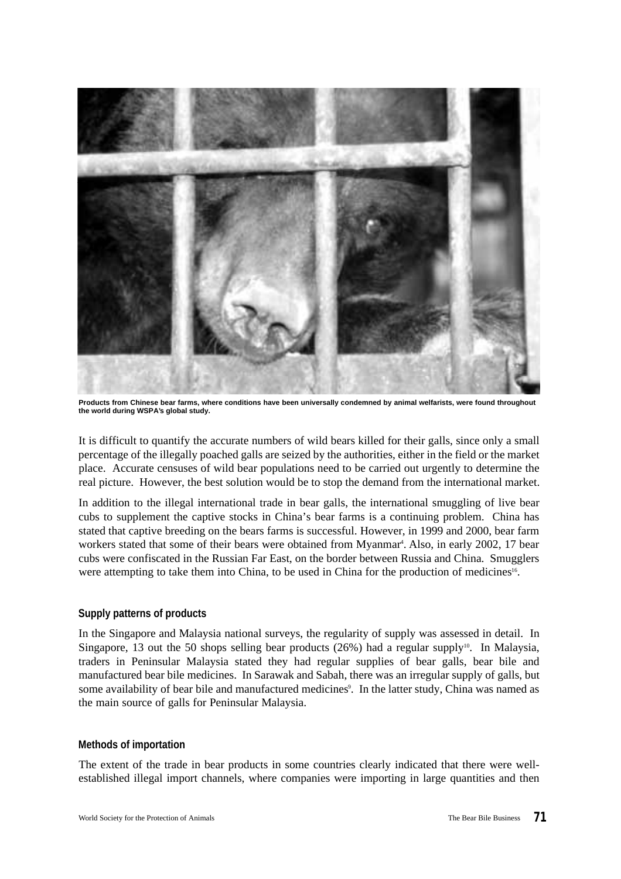

**Products from Chinese bear farms, where conditions have been universally condemned by animal welfarists, were found throughout the world during WSPA's global study.**

It is difficult to quantify the accurate numbers of wild bears killed for their galls, since only a small percentage of the illegally poached galls are seized by the authorities, either in the field or the market place. Accurate censuses of wild bear populations need to be carried out urgently to determine the real picture. However, the best solution would be to stop the demand from the international market.

In addition to the illegal international trade in bear galls, the international smuggling of live bear cubs to supplement the captive stocks in China's bear farms is a continuing problem. China has stated that captive breeding on the bears farms is successful. However, in 1999 and 2000, bear farm workers stated that some of their bears were obtained from Myanmar<sup>4</sup>. Also, in early 2002, 17 bear cubs were confiscated in the Russian Far East, on the border between Russia and China. Smugglers were attempting to take them into China, to be used in China for the production of medicines<sup>16</sup>.

### **Supply patterns of products**

In the Singapore and Malaysia national surveys, the regularity of supply was assessed in detail. In Singapore, 13 out the 50 shops selling bear products (26%) had a regular supply<sup>10</sup>. In Malaysia, traders in Peninsular Malaysia stated they had regular supplies of bear galls, bear bile and manufactured bear bile medicines. In Sarawak and Sabah, there was an irregular supply of galls, but some availability of bear bile and manufactured medicines<sup>9</sup>. In the latter study, China was named as the main source of galls for Peninsular Malaysia.

### **Methods of importation**

The extent of the trade in bear products in some countries clearly indicated that there were wellestablished illegal import channels, where companies were importing in large quantities and then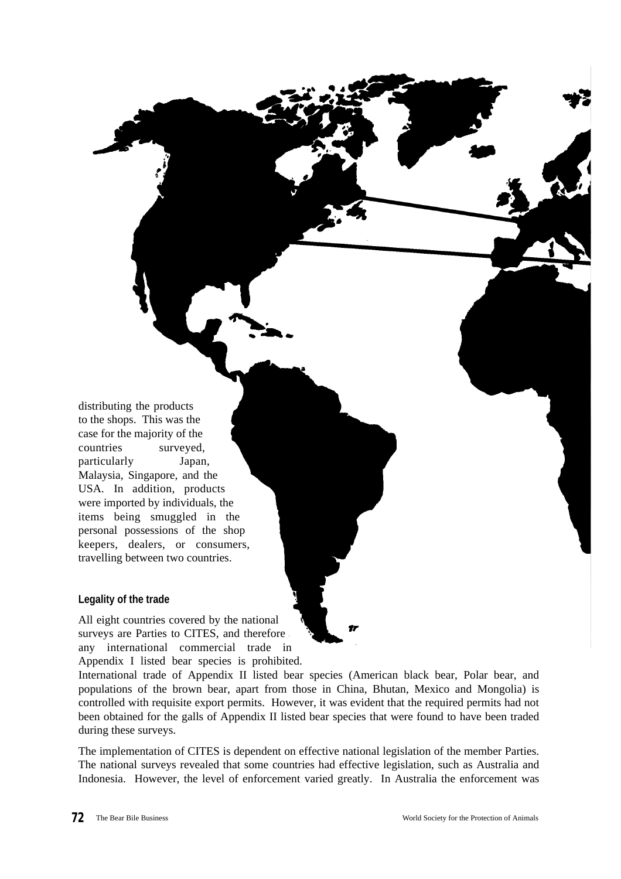distributing the products to the shops. This was the case for the majority of the countries surveyed, particularly Japan, Malaysia, Singapore, and the USA. In addition, products were imported by individuals, the items being smuggled in the personal possessions of the shop keepers, dealers, or consumers, travelling between two countries.

# **Legality of the trade**

All eight countries covered by the national surveys are Parties to CITES, and therefore any international commercial trade in Appendix I listed bear species is prohibited.

International trade of Appendix II listed bear species (American black bear, Polar bear, and populations of the brown bear, apart from those in China, Bhutan, Mexico and Mongolia) is controlled with requisite export permits. However, it was evident that the required permits had not been obtained for the galls of Appendix II listed bear species that were found to have been traded during these surveys.

The implementation of CITES is dependent on effective national legislation of the member Parties. The national surveys revealed that some countries had effective legislation, such as Australia and Indonesia. However, the level of enforcement varied greatly. In Australia the enforcement was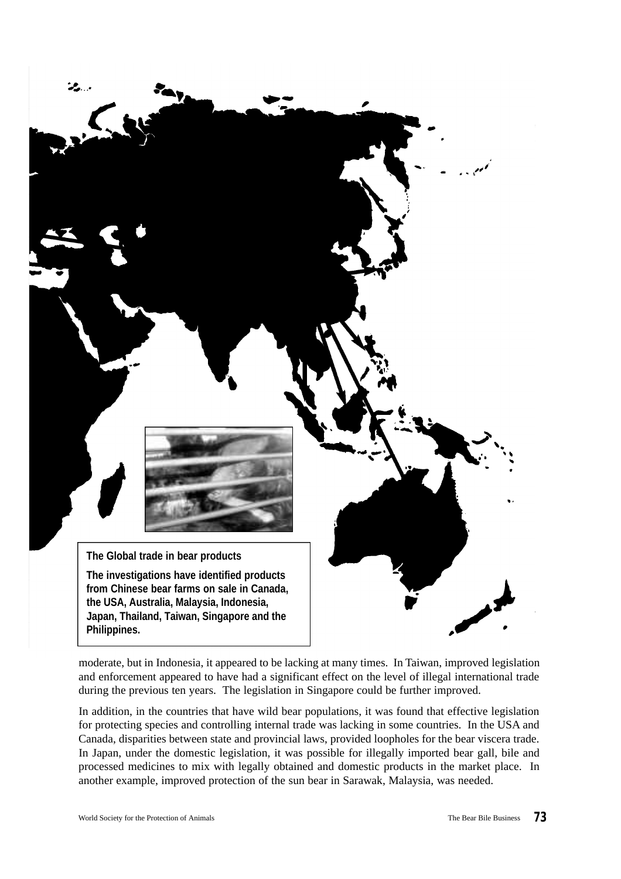

moderate, but in Indonesia, it appeared to be lacking at many times. In Taiwan, improved legislation and enforcement appeared to have had a significant effect on the level of illegal international trade during the previous ten years. The legislation in Singapore could be further improved.

In addition, in the countries that have wild bear populations, it was found that effective legislation for protecting species and controlling internal trade was lacking in some countries. In the USA and Canada, disparities between state and provincial laws, provided loopholes for the bear viscera trade. In Japan, under the domestic legislation, it was possible for illegally imported bear gall, bile and processed medicines to mix with legally obtained and domestic products in the market place. In another example, improved protection of the sun bear in Sarawak, Malaysia, was needed.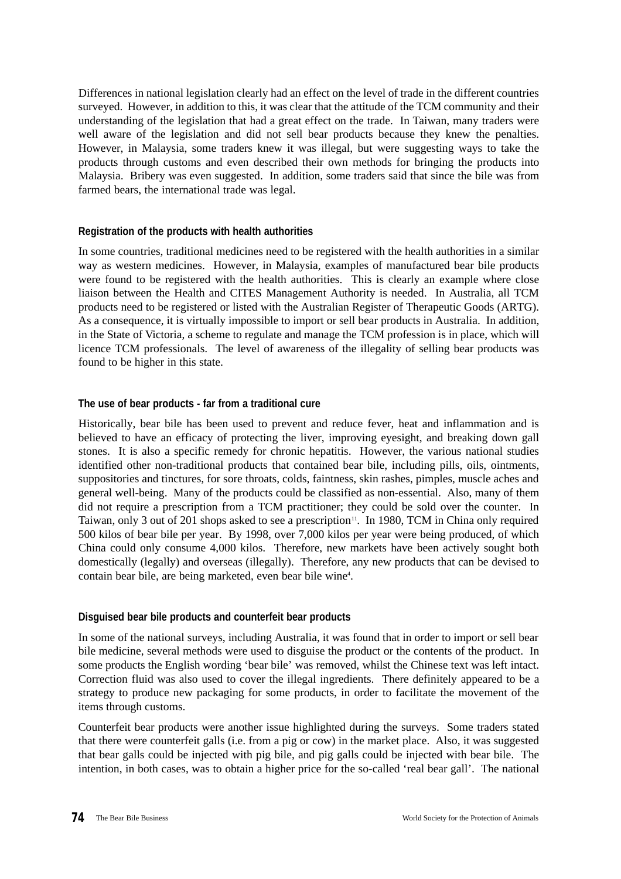Differences in national legislation clearly had an effect on the level of trade in the different countries surveyed. However, in addition to this, it was clear that the attitude of the TCM community and their understanding of the legislation that had a great effect on the trade. In Taiwan, many traders were well aware of the legislation and did not sell bear products because they knew the penalties. However, in Malaysia, some traders knew it was illegal, but were suggesting ways to take the products through customs and even described their own methods for bringing the products into Malaysia. Bribery was even suggested. In addition, some traders said that since the bile was from farmed bears, the international trade was legal.

### **Registration of the products with health authorities**

In some countries, traditional medicines need to be registered with the health authorities in a similar way as western medicines. However, in Malaysia, examples of manufactured bear bile products were found to be registered with the health authorities. This is clearly an example where close liaison between the Health and CITES Management Authority is needed. In Australia, all TCM products need to be registered or listed with the Australian Register of Therapeutic Goods (ARTG). As a consequence, it is virtually impossible to import or sell bear products in Australia. In addition, in the State of Victoria, a scheme to regulate and manage the TCM profession is in place, which will licence TCM professionals. The level of awareness of the illegality of selling bear products was found to be higher in this state.

#### **The use of bear products - far from a traditional cure**

Historically, bear bile has been used to prevent and reduce fever, heat and inflammation and is believed to have an efficacy of protecting the liver, improving eyesight, and breaking down gall stones. It is also a specific remedy for chronic hepatitis. However, the various national studies identified other non-traditional products that contained bear bile, including pills, oils, ointments, suppositories and tinctures, for sore throats, colds, faintness, skin rashes, pimples, muscle aches and general well-being. Many of the products could be classified as non-essential. Also, many of them did not require a prescription from a TCM practitioner; they could be sold over the counter. In Taiwan, only 3 out of 201 shops asked to see a prescription<sup>11</sup>. In 1980, TCM in China only required 500 kilos of bear bile per year. By 1998, over 7,000 kilos per year were being produced, of which China could only consume 4,000 kilos. Therefore, new markets have been actively sought both domestically (legally) and overseas (illegally). Therefore, any new products that can be devised to contain bear bile, are being marketed, even bear bile wine<sup>4</sup>.

#### **Disguised bear bile products and counterfeit bear products**

In some of the national surveys, including Australia, it was found that in order to import or sell bear bile medicine, several methods were used to disguise the product or the contents of the product. In some products the English wording 'bear bile' was removed, whilst the Chinese text was left intact. Correction fluid was also used to cover the illegal ingredients. There definitely appeared to be a strategy to produce new packaging for some products, in order to facilitate the movement of the items through customs.

Counterfeit bear products were another issue highlighted during the surveys. Some traders stated that there were counterfeit galls (i.e. from a pig or cow) in the market place. Also, it was suggested that bear galls could be injected with pig bile, and pig galls could be injected with bear bile. The intention, in both cases, was to obtain a higher price for the so-called 'real bear gall'. The national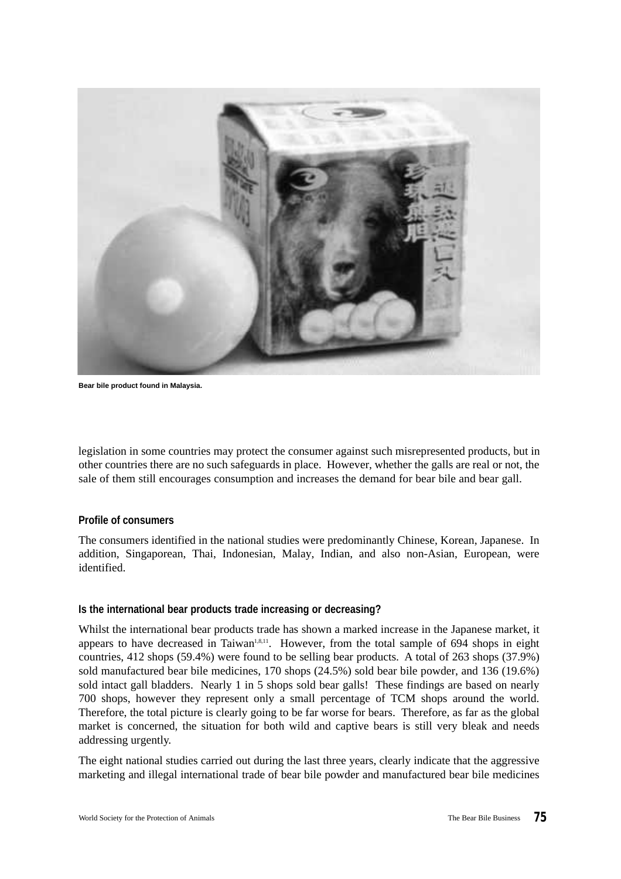

**Bear bile product found in Malaysia.**

legislation in some countries may protect the consumer against such misrepresented products, but in other countries there are no such safeguards in place. However, whether the galls are real or not, the sale of them still encourages consumption and increases the demand for bear bile and bear gall.

#### **Profile of consumers**

The consumers identified in the national studies were predominantly Chinese, Korean, Japanese. In addition, Singaporean, Thai, Indonesian, Malay, Indian, and also non-Asian, European, were identified.

### **Is the international bear products trade increasing or decreasing?**

Whilst the international bear products trade has shown a marked increase in the Japanese market, it appears to have decreased in Taiwan<sup>1,8,11</sup>. However, from the total sample of 694 shops in eight countries, 412 shops (59.4%) were found to be selling bear products. A total of 263 shops (37.9%) sold manufactured bear bile medicines, 170 shops (24.5%) sold bear bile powder, and 136 (19.6%) sold intact gall bladders. Nearly 1 in 5 shops sold bear galls! These findings are based on nearly 700 shops, however they represent only a small percentage of TCM shops around the world. Therefore, the total picture is clearly going to be far worse for bears. Therefore, as far as the global market is concerned, the situation for both wild and captive bears is still very bleak and needs addressing urgently.

The eight national studies carried out during the last three years, clearly indicate that the aggressive marketing and illegal international trade of bear bile powder and manufactured bear bile medicines